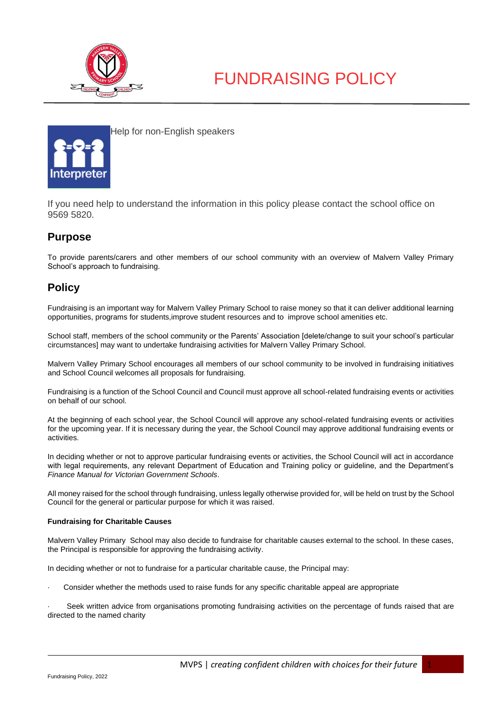



Help for non-English speakers

If you need help to understand the information in this policy please contact the school office on 9569 5820.

## **Purpose**

To provide parents/carers and other members of our school community with an overview of Malvern Valley Primary School's approach to fundraising.

## **Policy**

Fundraising is an important way for Malvern Valley Primary School to raise money so that it can deliver additional learning opportunities, programs for students,improve student resources and to improve school amenities etc.

School staff, members of the school community or the Parents' Association [delete/change to suit your school's particular circumstances] may want to undertake fundraising activities for Malvern Valley Primary School.

Malvern Valley Primary School encourages all members of our school community to be involved in fundraising initiatives and School Council welcomes all proposals for fundraising.

Fundraising is a function of the School Council and Council must approve all school-related fundraising events or activities on behalf of our school.

At the beginning of each school year, the School Council will approve any school-related fundraising events or activities for the upcoming year. If it is necessary during the year, the School Council may approve additional fundraising events or activities.

In deciding whether or not to approve particular fundraising events or activities, the School Council will act in accordance with legal requirements, any relevant Department of Education and Training policy or guideline, and the Department's *Finance Manual for Victorian Government Schools*.

All money raised for the school through fundraising, unless legally otherwise provided for, will be held on trust by the School Council for the general or particular purpose for which it was raised.

#### **Fundraising for Charitable Causes**

Malvern Valley Primary School may also decide to fundraise for charitable causes external to the school. In these cases, the Principal is responsible for approving the fundraising activity.

In deciding whether or not to fundraise for a particular charitable cause, the Principal may:

· Consider whether the methods used to raise funds for any specific charitable appeal are appropriate

· Seek written advice from organisations promoting fundraising activities on the percentage of funds raised that are directed to the named charity